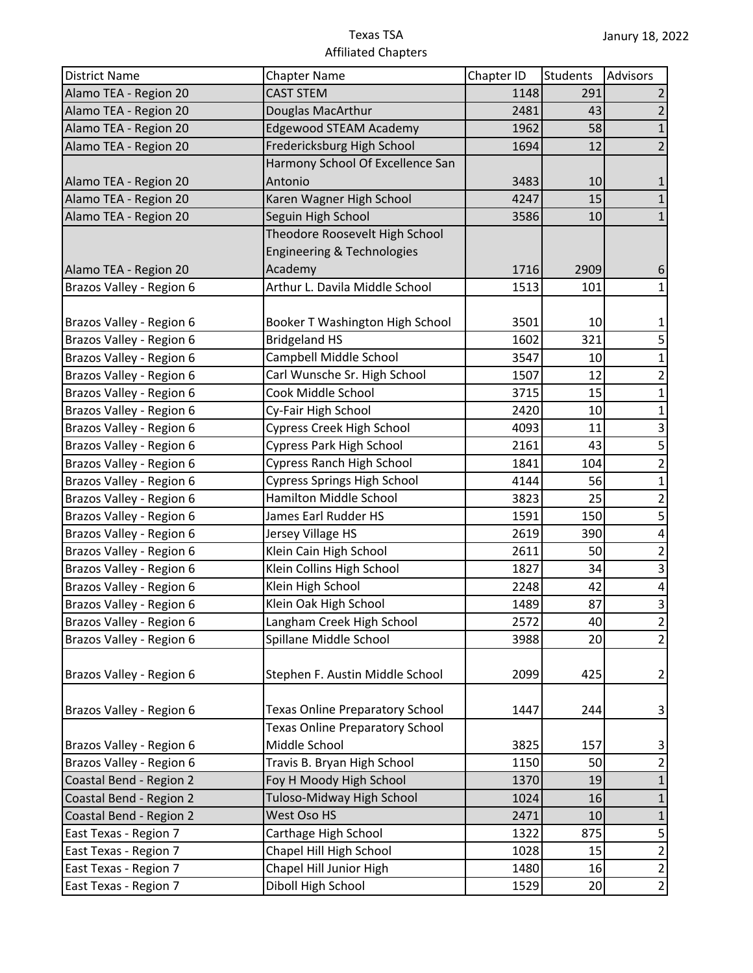| <b>District Name</b>     | <b>Chapter Name</b>                    | Chapter ID | Students | <b>Advisors</b> |
|--------------------------|----------------------------------------|------------|----------|-----------------|
| Alamo TEA - Region 20    | <b>CAST STEM</b>                       | 1148       | 291      |                 |
| Alamo TEA - Region 20    | Douglas MacArthur                      | 2481       | 43       | $\overline{2}$  |
| Alamo TEA - Region 20    | <b>Edgewood STEAM Academy</b>          | 1962       | 58       | $\mathbf{1}$    |
| Alamo TEA - Region 20    | Fredericksburg High School             | 1694       | 12       | $\overline{2}$  |
|                          | Harmony School Of Excellence San       |            |          |                 |
| Alamo TEA - Region 20    | Antonio                                | 3483       | 10       | 1               |
| Alamo TEA - Region 20    | Karen Wagner High School               | 4247       | 15       |                 |
| Alamo TEA - Region 20    | Seguin High School                     | 3586       | 10       | $\mathbf{1}$    |
|                          | Theodore Roosevelt High School         |            |          |                 |
|                          | <b>Engineering &amp; Technologies</b>  |            |          |                 |
| Alamo TEA - Region 20    | Academy                                | 1716       | 2909     | 6               |
| Brazos Valley - Region 6 | Arthur L. Davila Middle School         | 1513       | 101      | 1               |
|                          |                                        |            |          |                 |
| Brazos Valley - Region 6 | Booker T Washington High School        | 3501       | 10       | 1               |
| Brazos Valley - Region 6 | <b>Bridgeland HS</b>                   | 1602       | 321      | 5               |
| Brazos Valley - Region 6 | Campbell Middle School                 | 3547       | 10       | 1               |
| Brazos Valley - Region 6 | Carl Wunsche Sr. High School           | 1507       | 12       | $\overline{2}$  |
| Brazos Valley - Region 6 | Cook Middle School                     | 3715       | 15       | $\mathbf{1}$    |
| Brazos Valley - Region 6 | Cy-Fair High School                    | 2420       | 10       | 1               |
| Brazos Valley - Region 6 | <b>Cypress Creek High School</b>       | 4093       | 11       | $\mathsf 3$     |
| Brazos Valley - Region 6 | <b>Cypress Park High School</b>        | 2161       | 43       | $\overline{5}$  |
| Brazos Valley - Region 6 | <b>Cypress Ranch High School</b>       | 1841       | 104      | $\overline{2}$  |
| Brazos Valley - Region 6 | <b>Cypress Springs High School</b>     | 4144       | 56       | $\mathbf{1}$    |
| Brazos Valley - Region 6 | Hamilton Middle School                 | 3823       | 25       | $\overline{2}$  |
| Brazos Valley - Region 6 | James Earl Rudder HS                   | 1591       | 150      | 5               |
| Brazos Valley - Region 6 | Jersey Village HS                      | 2619       | 390      | 4               |
| Brazos Valley - Region 6 | Klein Cain High School                 | 2611       | 50       | $\overline{2}$  |
| Brazos Valley - Region 6 | Klein Collins High School              | 1827       | 34       | 3               |
| Brazos Valley - Region 6 | Klein High School                      | 2248       | 42       | 4               |
| Brazos Valley - Region 6 | Klein Oak High School                  | 1489       | 87       | 3               |
| Brazos Valley - Region 6 | Langham Creek High School              | 2572       | 40       | $\overline{2}$  |
| Brazos Valley - Region 6 | Spillane Middle School                 | 3988       | 20       | $\overline{2}$  |
|                          |                                        |            |          |                 |
| Brazos Valley - Region 6 | Stephen F. Austin Middle School        | 2099       | 425      | $\overline{2}$  |
|                          |                                        |            |          |                 |
| Brazos Valley - Region 6 | <b>Texas Online Preparatory School</b> | 1447       | 244      | 3               |
|                          | <b>Texas Online Preparatory School</b> |            |          |                 |
| Brazos Valley - Region 6 | Middle School                          | 3825       | 157      | 3               |
| Brazos Valley - Region 6 | Travis B. Bryan High School            | 1150       | 50       | $\overline{2}$  |
| Coastal Bend - Region 2  | Foy H Moody High School                | 1370       | 19       | $\mathbf{1}$    |
| Coastal Bend - Region 2  | Tuloso-Midway High School              | 1024       | 16       | $\mathbf{1}$    |
| Coastal Bend - Region 2  | West Oso HS                            | 2471       | 10       | $\mathbf 1$     |
| East Texas - Region 7    | Carthage High School                   | 1322       | 875      | 5               |
| East Texas - Region 7    | Chapel Hill High School                | 1028       | 15       | $\overline{2}$  |
| East Texas - Region 7    | Chapel Hill Junior High                | 1480       | 16       | $\overline{2}$  |
| East Texas - Region 7    | Diboll High School                     | 1529       | 20       | $\overline{2}$  |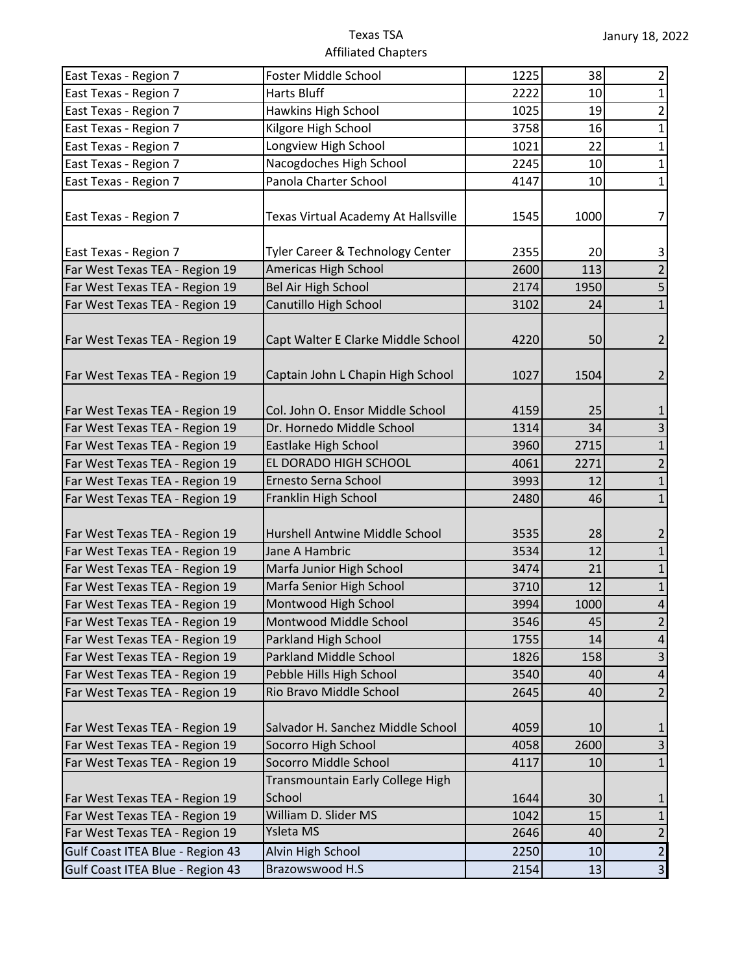| East Texas - Region 7                                            | Foster Middle School                                 | 1225         | 38   | $\overline{2}$               |
|------------------------------------------------------------------|------------------------------------------------------|--------------|------|------------------------------|
| East Texas - Region 7                                            | <b>Harts Bluff</b>                                   | 2222         | 10   | $\mathbf{1}$                 |
| East Texas - Region 7                                            | Hawkins High School                                  | 1025         | 19   | $\overline{2}$               |
| East Texas - Region 7                                            | Kilgore High School                                  | 3758         | 16   | $\mathbf 1$                  |
| East Texas - Region 7                                            | Longview High School                                 | 1021         | 22   | $\mathbf 1$                  |
| East Texas - Region 7                                            | Nacogdoches High School                              | 2245         | 10   | $\mathbf{1}$                 |
| East Texas - Region 7                                            | Panola Charter School                                | 4147         | 10   | $\mathbf{1}$                 |
| East Texas - Region 7                                            | Texas Virtual Academy At Hallsville                  | 1545         | 1000 | $\overline{7}$               |
| East Texas - Region 7                                            | Tyler Career & Technology Center                     | 2355         | 20   | 3                            |
| Far West Texas TEA - Region 19                                   | Americas High School                                 | 2600         | 113  | $\overline{2}$               |
| Far West Texas TEA - Region 19                                   | Bel Air High School                                  | 2174         | 1950 | 5                            |
| Far West Texas TEA - Region 19                                   | Canutillo High School                                | 3102         | 24   | $\mathbf{1}$                 |
| Far West Texas TEA - Region 19                                   | Capt Walter E Clarke Middle School                   | 4220         | 50   | 2                            |
| Far West Texas TEA - Region 19                                   | Captain John L Chapin High School                    | 1027         | 1504 | $\overline{2}$               |
| Far West Texas TEA - Region 19                                   | Col. John O. Ensor Middle School                     | 4159         | 25   | 1                            |
| Far West Texas TEA - Region 19                                   | Dr. Hornedo Middle School                            | 1314         | 34   | 3                            |
| Far West Texas TEA - Region 19                                   | Eastlake High School                                 | 3960         | 2715 | $\mathbf{1}$                 |
| Far West Texas TEA - Region 19                                   | EL DORADO HIGH SCHOOL                                | 4061         | 2271 | 2                            |
| Far West Texas TEA - Region 19                                   | Ernesto Serna School                                 | 3993         | 12   | $\mathbf{1}$                 |
| Far West Texas TEA - Region 19                                   | Franklin High School                                 | 2480         | 46   | $\mathbf{1}$                 |
|                                                                  | Hurshell Antwine Middle School                       | 3535         | 28   |                              |
| Far West Texas TEA - Region 19<br>Far West Texas TEA - Region 19 | Jane A Hambric                                       |              | 12   | 2<br>$\mathbf{1}$            |
|                                                                  |                                                      | 3534<br>3474 | 21   |                              |
| Far West Texas TEA - Region 19<br>Far West Texas TEA - Region 19 | Marfa Junior High School<br>Marfa Senior High School | 3710         | 12   | $\mathbf{1}$<br>$\mathbf{1}$ |
| Far West Texas TEA - Region 19                                   | Montwood High School                                 | 3994         | 1000 | $\sqrt{4}$                   |
| Far West Texas TEA - Region 19                                   | Montwood Middle School                               | 3546         | 45   |                              |
| Far West Texas TEA - Region 19                                   | Parkland High School                                 | 1755         | 14   | 2<br>$\overline{4}$          |
| Far West Texas TEA - Region 19                                   | Parkland Middle School                               | 1826         | 158  | $\mathsf 3$                  |
| Far West Texas TEA - Region 19                                   | Pebble Hills High School                             | 3540         | 40   | $\overline{4}$               |
| Far West Texas TEA - Region 19                                   | Rio Bravo Middle School                              | 2645         | 40   | $\overline{2}$               |
| Far West Texas TEA - Region 19                                   | Salvador H. Sanchez Middle School                    | 4059         | 10   |                              |
| Far West Texas TEA - Region 19                                   | Socorro High School                                  | 4058         | 2600 | $\mathbf{1}$<br>3            |
| Far West Texas TEA - Region 19                                   | Socorro Middle School                                | 4117         | 10   | $\mathbf{1}$                 |
|                                                                  | Transmountain Early College High                     |              |      |                              |
| Far West Texas TEA - Region 19                                   | School                                               | 1644         | 30   | 1                            |
| Far West Texas TEA - Region 19                                   | William D. Slider MS                                 | 1042         | 15   | $\mathbf 1$                  |
| Far West Texas TEA - Region 19                                   | Ysleta MS                                            | 2646         | 40   | $\overline{2}$               |
| Gulf Coast ITEA Blue - Region 43                                 | Alvin High School                                    | 2250         | 10   | $\overline{c}$               |
| Gulf Coast ITEA Blue - Region 43                                 | Brazowswood H.S                                      | 2154         | 13   | $\mathbf{3}$                 |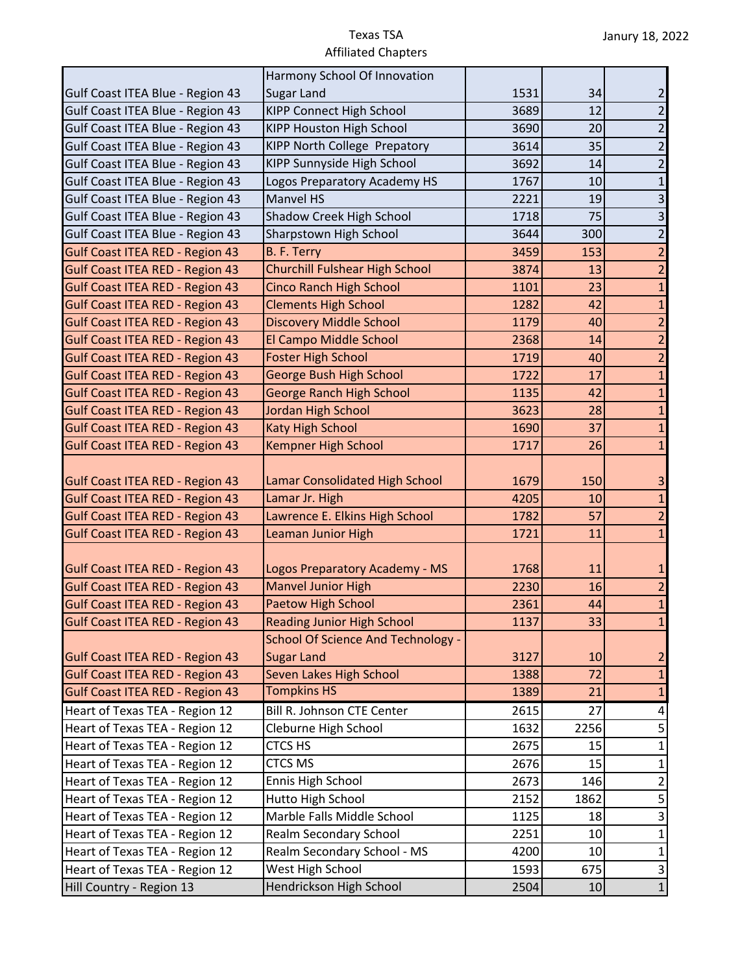|                                        | Harmony School Of Innovation              |      |      |                |
|----------------------------------------|-------------------------------------------|------|------|----------------|
| Gulf Coast ITEA Blue - Region 43       | <b>Sugar Land</b>                         | 1531 | 34   | 2              |
| Gulf Coast ITEA Blue - Region 43       | <b>KIPP Connect High School</b>           | 3689 | 12   | $\overline{2}$ |
| Gulf Coast ITEA Blue - Region 43       | KIPP Houston High School                  | 3690 | 20   | 2              |
| Gulf Coast ITEA Blue - Region 43       | KIPP North College Prepatory              | 3614 | 35   | $\overline{2}$ |
| Gulf Coast ITEA Blue - Region 43       | KIPP Sunnyside High School                | 3692 | 14   | $\overline{2}$ |
| Gulf Coast ITEA Blue - Region 43       | Logos Preparatory Academy HS              | 1767 | 10   | $\mathbf{1}$   |
| Gulf Coast ITEA Blue - Region 43       | <b>Manvel HS</b>                          | 2221 | 19   | 3              |
| Gulf Coast ITEA Blue - Region 43       | Shadow Creek High School                  | 1718 | 75   | $\mathsf 3$    |
| Gulf Coast ITEA Blue - Region 43       | Sharpstown High School                    | 3644 | 300  | $\overline{c}$ |
| <b>Gulf Coast ITEA RED - Region 43</b> | B. F. Terry                               | 3459 | 153  | $\overline{2}$ |
| <b>Gulf Coast ITEA RED - Region 43</b> | <b>Churchill Fulshear High School</b>     | 3874 | 13   | $\overline{2}$ |
| <b>Gulf Coast ITEA RED - Region 43</b> | <b>Cinco Ranch High School</b>            | 1101 | 23   | $\mathbf{1}$   |
| <b>Gulf Coast ITEA RED - Region 43</b> | <b>Clements High School</b>               | 1282 | 42   | $\mathbf{1}$   |
| <b>Gulf Coast ITEA RED - Region 43</b> | <b>Discovery Middle School</b>            | 1179 | 40   | $\overline{2}$ |
| <b>Gulf Coast ITEA RED - Region 43</b> | El Campo Middle School                    | 2368 | 14   | $\overline{2}$ |
| <b>Gulf Coast ITEA RED - Region 43</b> | <b>Foster High School</b>                 | 1719 | 40   | $\overline{2}$ |
| <b>Gulf Coast ITEA RED - Region 43</b> | <b>George Bush High School</b>            | 1722 | 17   | $\mathbf{1}$   |
| <b>Gulf Coast ITEA RED - Region 43</b> | <b>George Ranch High School</b>           | 1135 | 42   | $\mathbf{1}$   |
| <b>Gulf Coast ITEA RED - Region 43</b> | Jordan High School                        | 3623 | 28   | $\mathbf{1}$   |
| <b>Gulf Coast ITEA RED - Region 43</b> | Katy High School                          | 1690 | 37   | $\mathbf{1}$   |
| <b>Gulf Coast ITEA RED - Region 43</b> | Kempner High School                       | 1717 | 26   | $\mathbf{1}$   |
| <b>Gulf Coast ITEA RED - Region 43</b> | Lamar Consolidated High School            | 1679 | 150  | 3              |
| <b>Gulf Coast ITEA RED - Region 43</b> | Lamar Jr. High                            | 4205 | 10   | 1              |
| Gulf Coast ITEA RED - Region 43        | Lawrence E. Elkins High School            | 1782 | 57   | $\overline{2}$ |
| <b>Gulf Coast ITEA RED - Region 43</b> | Leaman Junior High                        | 1721 | 11   | $\mathbf{1}$   |
| <b>Gulf Coast ITEA RED - Region 43</b> | Logos Preparatory Academy - MS            | 1768 | 11   |                |
| <b>Gulf Coast ITEA RED - Region 43</b> | <b>Manvel Junior High</b>                 | 2230 | 16   | $\overline{2}$ |
| <b>Gulf Coast ITEA RED - Region 43</b> | Paetow High School                        | 2361 | 44   | $\mathbf{1}$   |
| <b>Gulf Coast ITEA RED - Region 43</b> | <b>Reading Junior High School</b>         | 1137 | 33   | 1              |
|                                        | <b>School Of Science And Technology -</b> |      |      |                |
| <b>Gulf Coast ITEA RED - Region 43</b> | <b>Sugar Land</b>                         | 3127 | 10   | $\overline{2}$ |
| <b>Gulf Coast ITEA RED - Region 43</b> | Seven Lakes High School                   | 1388 | 72   | $\mathbf{1}$   |
| <b>Gulf Coast ITEA RED - Region 43</b> | <b>Tompkins HS</b>                        | 1389 | 21   | $\mathbf{1}$   |
| Heart of Texas TEA - Region 12         | <b>Bill R. Johnson CTE Center</b>         | 2615 | 27   | 4              |
| Heart of Texas TEA - Region 12         | Cleburne High School                      | 1632 | 2256 | 5              |
| Heart of Texas TEA - Region 12         | <b>CTCS HS</b>                            | 2675 | 15   | $\mathbf 1$    |
| Heart of Texas TEA - Region 12         | <b>CTCS MS</b>                            | 2676 | 15   | $\mathbf{1}$   |
| Heart of Texas TEA - Region 12         | Ennis High School                         | 2673 | 146  | $\overline{2}$ |
| Heart of Texas TEA - Region 12         | Hutto High School                         | 2152 | 1862 | 5              |
| Heart of Texas TEA - Region 12         | Marble Falls Middle School                | 1125 | 18   | $\mathsf 3$    |
| Heart of Texas TEA - Region 12         | Realm Secondary School                    | 2251 | 10   | $\mathbf{1}$   |
| Heart of Texas TEA - Region 12         | Realm Secondary School - MS               | 4200 | 10   | $\mathbf 1$    |
| Heart of Texas TEA - Region 12         | West High School                          | 1593 | 675  | $\mathsf 3$    |
| Hill Country - Region 13               | Hendrickson High School                   | 2504 | 10   | $\mathbf 1$    |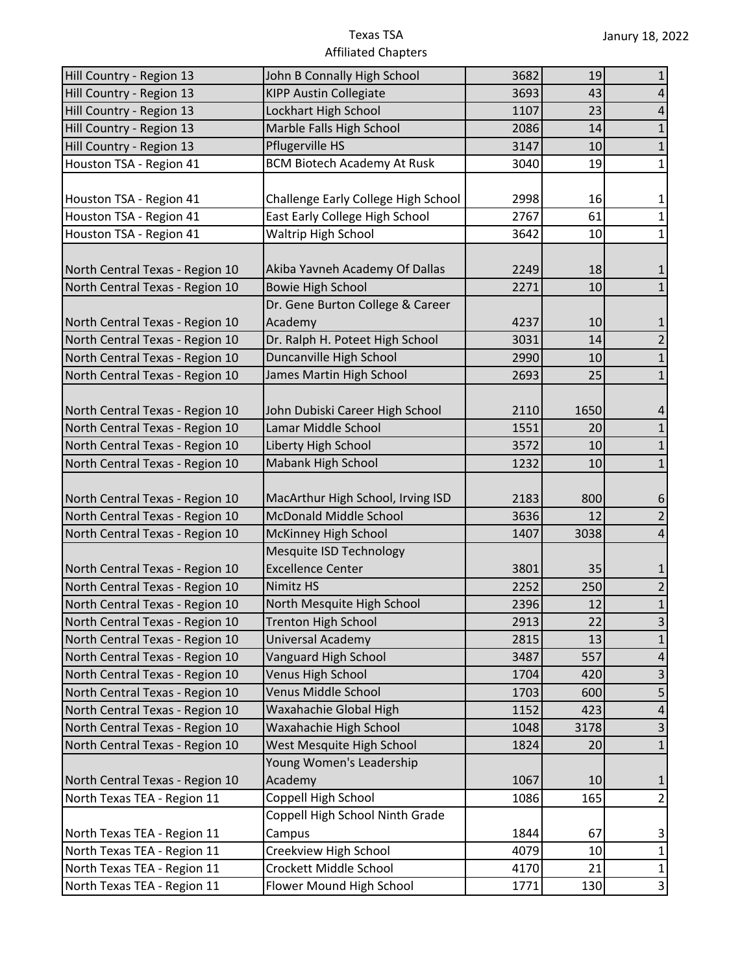| Hill Country - Region 13        | John B Connally High School         | 3682 | 19   | 1                         |
|---------------------------------|-------------------------------------|------|------|---------------------------|
| Hill Country - Region 13        | <b>KIPP Austin Collegiate</b>       | 3693 | 43   | 4                         |
| Hill Country - Region 13        | Lockhart High School                | 1107 | 23   | 4                         |
| Hill Country - Region 13        | Marble Falls High School            | 2086 | 14   | $\mathbf 1$               |
| Hill Country - Region 13        | Pflugerville HS                     | 3147 | 10   | $1\,$                     |
| Houston TSA - Region 41         | <b>BCM Biotech Academy At Rusk</b>  | 3040 | 19   | $\mathbf{1}$              |
|                                 |                                     |      |      |                           |
| Houston TSA - Region 41         | Challenge Early College High School | 2998 | 16   | 1                         |
| Houston TSA - Region 41         | East Early College High School      | 2767 | 61   | $\mathbf{1}$              |
| Houston TSA - Region 41         | <b>Waltrip High School</b>          | 3642 | 10   | $\mathbf{1}$              |
|                                 |                                     |      |      |                           |
| North Central Texas - Region 10 | Akiba Yavneh Academy Of Dallas      | 2249 | 18   |                           |
| North Central Texas - Region 10 | <b>Bowie High School</b>            | 2271 | 10   | $\mathbf{1}$              |
|                                 | Dr. Gene Burton College & Career    |      |      |                           |
| North Central Texas - Region 10 | Academy                             | 4237 | 10   | 1                         |
| North Central Texas - Region 10 | Dr. Ralph H. Poteet High School     | 3031 | 14   | $\overline{2}$            |
| North Central Texas - Region 10 | Duncanville High School             | 2990 | 10   | $\mathbf{1}$              |
| North Central Texas - Region 10 | James Martin High School            | 2693 | 25   | $\mathbf{1}$              |
|                                 |                                     |      |      |                           |
| North Central Texas - Region 10 | John Dubiski Career High School     | 2110 | 1650 | 4                         |
| North Central Texas - Region 10 | Lamar Middle School                 | 1551 | 20   | $\mathbf{1}$              |
| North Central Texas - Region 10 | Liberty High School                 | 3572 | 10   | $\mathbf{1}$              |
| North Central Texas - Region 10 | Mabank High School                  | 1232 | 10   | $\mathbf{1}$              |
|                                 |                                     |      |      |                           |
| North Central Texas - Region 10 | MacArthur High School, Irving ISD   | 2183 | 800  | 6                         |
| North Central Texas - Region 10 | McDonald Middle School              | 3636 | 12   | $\overline{2}$            |
| North Central Texas - Region 10 | McKinney High School                | 1407 | 3038 | 4                         |
|                                 | Mesquite ISD Technology             |      |      |                           |
| North Central Texas - Region 10 | <b>Excellence Center</b>            | 3801 | 35   |                           |
| North Central Texas - Region 10 | <b>Nimitz HS</b>                    | 2252 | 250  | 2                         |
| North Central Texas - Region 10 | North Mesquite High School          | 2396 | 12   | $\mathbf 1$               |
| North Central Texas - Region 10 | <b>Trenton High School</b>          | 2913 | 22   | $\overline{3}$            |
| North Central Texas - Region 10 | Universal Academy                   | 2815 | 13   |                           |
| North Central Texas - Region 10 | Vanguard High School                | 3487 | 557  | $\overline{4}$            |
| North Central Texas - Region 10 | Venus High School                   | 1704 | 420  | $\ensuremath{\mathsf{3}}$ |
| North Central Texas - Region 10 | Venus Middle School                 | 1703 | 600  | 5                         |
| North Central Texas - Region 10 | Waxahachie Global High              | 1152 | 423  | $\overline{4}$            |
| North Central Texas - Region 10 | Waxahachie High School              | 1048 | 3178 | 3                         |
| North Central Texas - Region 10 | West Mesquite High School           | 1824 | 20   | $1\,$                     |
|                                 | Young Women's Leadership            |      |      |                           |
| North Central Texas - Region 10 | Academy                             | 1067 | 10   | $\mathbf{1}$              |
| North Texas TEA - Region 11     | Coppell High School                 | 1086 | 165  | $\overline{2}$            |
|                                 | Coppell High School Ninth Grade     |      |      |                           |
| North Texas TEA - Region 11     | Campus                              | 1844 | 67   | 3                         |
| North Texas TEA - Region 11     | Creekview High School               | 4079 | 10   | $\mathbf 1$               |
| North Texas TEA - Region 11     | Crockett Middle School              | 4170 | 21   | $\mathbf 1$               |
| North Texas TEA - Region 11     | Flower Mound High School            | 1771 | 130  | $\mathbf{3}$              |
|                                 |                                     |      |      |                           |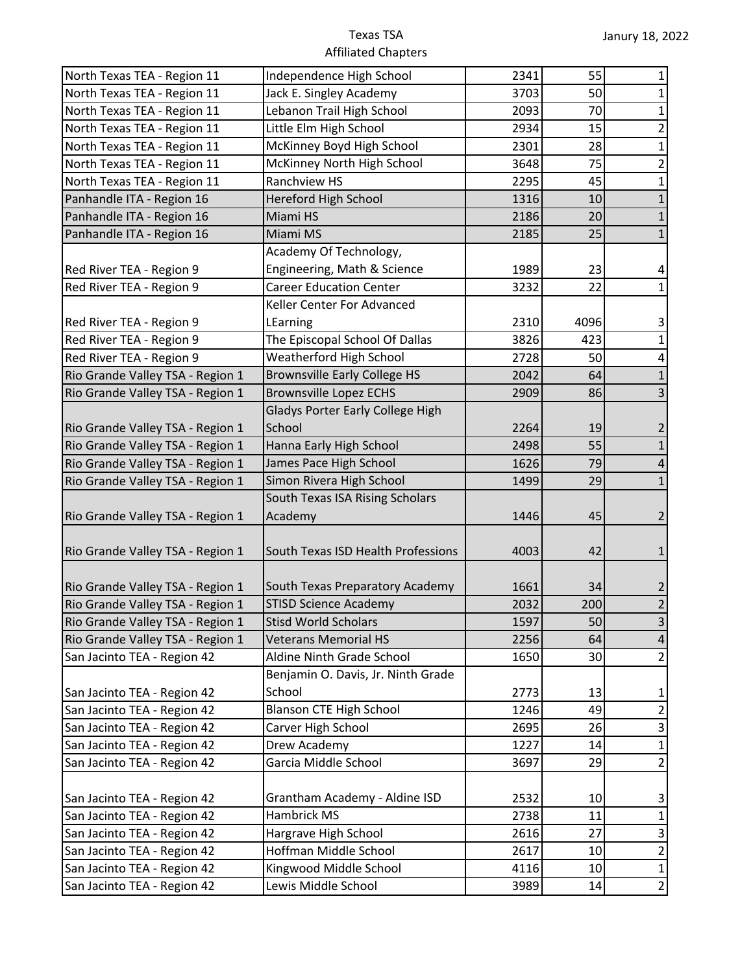| North Texas TEA - Region 11      | Independence High School            | 2341 | 55   | 1              |
|----------------------------------|-------------------------------------|------|------|----------------|
| North Texas TEA - Region 11      | Jack E. Singley Academy             | 3703 | 50   |                |
| North Texas TEA - Region 11      | Lebanon Trail High School           | 2093 | 70   | 1              |
| North Texas TEA - Region 11      | Little Elm High School              | 2934 | 15   | $\overline{2}$ |
| North Texas TEA - Region 11      | McKinney Boyd High School           | 2301 | 28   | $\mathbf 1$    |
| North Texas TEA - Region 11      | McKinney North High School          | 3648 | 75   | $\overline{2}$ |
| North Texas TEA - Region 11      | Ranchview HS                        | 2295 | 45   | 1              |
| Panhandle ITA - Region 16        | <b>Hereford High School</b>         | 1316 | 10   | 1              |
| Panhandle ITA - Region 16        | Miami HS                            | 2186 | 20   | 1              |
| Panhandle ITA - Region 16        | Miami MS                            | 2185 | 25   | $\mathbf{1}$   |
|                                  | Academy Of Technology,              |      |      |                |
| Red River TEA - Region 9         | Engineering, Math & Science         | 1989 | 23   | 4              |
| Red River TEA - Region 9         | <b>Career Education Center</b>      | 3232 | 22   | $\mathbf{1}$   |
|                                  | Keller Center For Advanced          |      |      |                |
| Red River TEA - Region 9         | LEarning                            | 2310 | 4096 | 3              |
| Red River TEA - Region 9         | The Episcopal School Of Dallas      | 3826 | 423  | $\mathbf{1}$   |
| Red River TEA - Region 9         | Weatherford High School             | 2728 | 50   | 4              |
| Rio Grande Valley TSA - Region 1 | <b>Brownsville Early College HS</b> | 2042 | 64   | $\mathbf{1}$   |
| Rio Grande Valley TSA - Region 1 | <b>Brownsville Lopez ECHS</b>       | 2909 | 86   | 3              |
|                                  | Gladys Porter Early College High    |      |      |                |
| Rio Grande Valley TSA - Region 1 | School                              | 2264 | 19   | 2              |
| Rio Grande Valley TSA - Region 1 | Hanna Early High School             | 2498 | 55   |                |
| Rio Grande Valley TSA - Region 1 | James Pace High School              | 1626 | 79   | 4              |
| Rio Grande Valley TSA - Region 1 | Simon Rivera High School            | 1499 | 29   | $\mathbf{1}$   |
|                                  | South Texas ISA Rising Scholars     |      |      |                |
| Rio Grande Valley TSA - Region 1 | Academy                             | 1446 | 45   | 2              |
|                                  |                                     |      |      |                |
| Rio Grande Valley TSA - Region 1 | South Texas ISD Health Professions  | 4003 | 42   |                |
|                                  |                                     |      |      |                |
| Rio Grande Valley TSA - Region 1 | South Texas Preparatory Academy     | 1661 | 34   | 2              |
| Rio Grande Valley TSA - Region 1 | <b>STISD Science Academy</b>        | 2032 | 200  | $\overline{2}$ |
| Rio Grande Valley TSA - Region 1 | <b>Stisd World Scholars</b>         | 1597 | 50   | $\mathsf{3}$   |
| Rio Grande Valley TSA - Region 1 | <b>Veterans Memorial HS</b>         | 2256 | 64   | 4              |
| San Jacinto TEA - Region 42      | Aldine Ninth Grade School           | 1650 | 30   | $\overline{2}$ |
|                                  | Benjamin O. Davis, Jr. Ninth Grade  |      |      |                |
| San Jacinto TEA - Region 42      | School                              | 2773 | 13   | 1              |
| San Jacinto TEA - Region 42      | <b>Blanson CTE High School</b>      | 1246 | 49   | $\overline{2}$ |
| San Jacinto TEA - Region 42      | Carver High School                  | 2695 | 26   | 3              |
| San Jacinto TEA - Region 42      | Drew Academy                        | 1227 | 14   | $\mathbf{1}$   |
| San Jacinto TEA - Region 42      | Garcia Middle School                | 3697 | 29   | $\overline{2}$ |
|                                  |                                     |      |      |                |
| San Jacinto TEA - Region 42      | Grantham Academy - Aldine ISD       | 2532 | 10   | 3              |
| San Jacinto TEA - Region 42      | Hambrick MS                         | 2738 | 11   | 1              |
| San Jacinto TEA - Region 42      | Hargrave High School                | 2616 | 27   | 3              |
| San Jacinto TEA - Region 42      | Hoffman Middle School               | 2617 | 10   | $\overline{2}$ |
| San Jacinto TEA - Region 42      | Kingwood Middle School              | 4116 | 10   | $\mathbf 1$    |
| San Jacinto TEA - Region 42      | Lewis Middle School                 | 3989 | 14   | $\overline{2}$ |
|                                  |                                     |      |      |                |